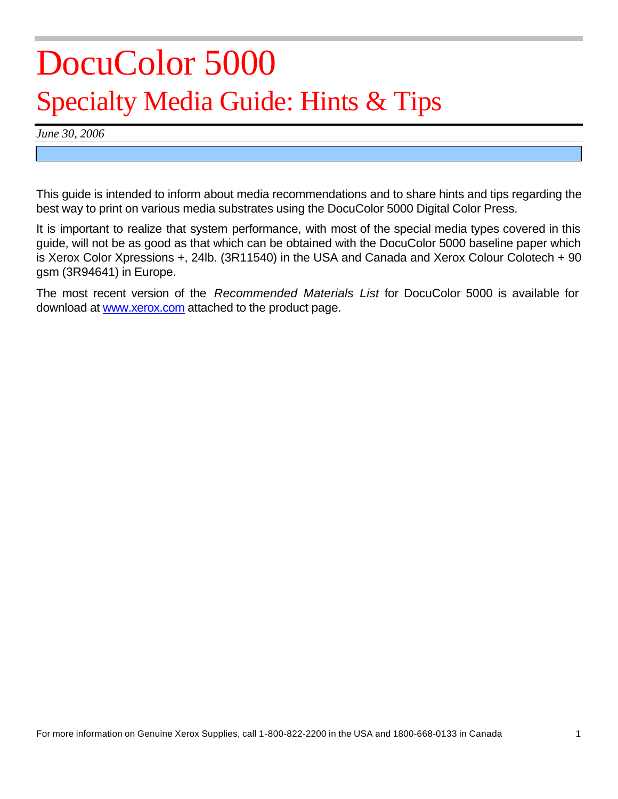# DocuColor 5000 Specialty Media Guide: Hints & Tips

*June 30, 2006*

This guide is intended to inform about media recommendations and to share hints and tips regarding the best way to print on various media substrates using the DocuColor 5000 Digital Color Press.

It is important to realize that system performance, with most of the special media types covered in this guide, will not be as good as that which can be obtained with the DocuColor 5000 baseline paper which is Xerox Color Xpressions +, 24lb. (3R11540) in the USA and Canada and Xerox Colour Colotech + 90 gsm (3R94641) in Europe.

The most recent version of the *Recommended Materials List* for DocuColor 5000 is available for download at www.xerox.com attached to the product page.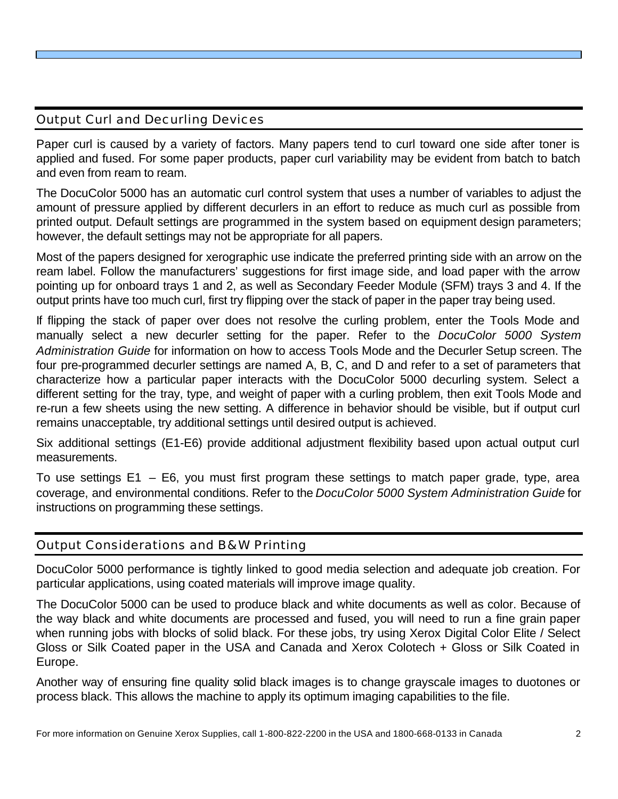## Output Curl and Decurling Devices

Paper curl is caused by a variety of factors. Many papers tend to curl toward one side after toner is applied and fused. For some paper products, paper curl variability may be evident from batch to batch and even from ream to ream.

The DocuColor 5000 has an automatic curl control system that uses a number of variables to adjust the amount of pressure applied by different decurlers in an effort to reduce as much curl as possible from printed output. Default settings are programmed in the system based on equipment design parameters; however, the default settings may not be appropriate for all papers.

Most of the papers designed for xerographic use indicate the preferred printing side with an arrow on the ream label. Follow the manufacturers' suggestions for first image side, and load paper with the arrow pointing up for onboard trays 1 and 2, as well as Secondary Feeder Module (SFM) trays 3 and 4. If the output prints have too much curl, first try flipping over the stack of paper in the paper tray being used.

If flipping the stack of paper over does not resolve the curling problem, enter the Tools Mode and manually select a new decurler setting for the paper. Refer to the *DocuColor 5000 System Administration Guide* for information on how to access Tools Mode and the Decurler Setup screen. The four pre-programmed decurler settings are named A, B, C, and D and refer to a set of parameters that characterize how a particular paper interacts with the DocuColor 5000 decurling system. Select a different setting for the tray, type, and weight of paper with a curling problem, then exit Tools Mode and re-run a few sheets using the new setting. A difference in behavior should be visible, but if output curl remains unacceptable, try additional settings until desired output is achieved.

Six additional settings (E1-E6) provide additional adjustment flexibility based upon actual output curl measurements.

To use settings E1 – E6, you must first program these settings to match paper grade, type, area coverage, and environmental conditions. Refer to the *DocuColor 5000 System Administration Guide* for instructions on programming these settings.

## Output Considerations and B&W Printing

DocuColor 5000 performance is tightly linked to good media selection and adequate job creation. For particular applications, using coated materials will improve image quality.

The DocuColor 5000 can be used to produce black and white documents as well as color. Because of the way black and white documents are processed and fused, you will need to run a fine grain paper when running jobs with blocks of solid black. For these jobs, try using Xerox Digital Color Elite / Select Gloss or Silk Coated paper in the USA and Canada and Xerox Colotech + Gloss or Silk Coated in Europe.

Another way of ensuring fine quality solid black images is to change grayscale images to duotones or process black. This allows the machine to apply its optimum imaging capabilities to the file.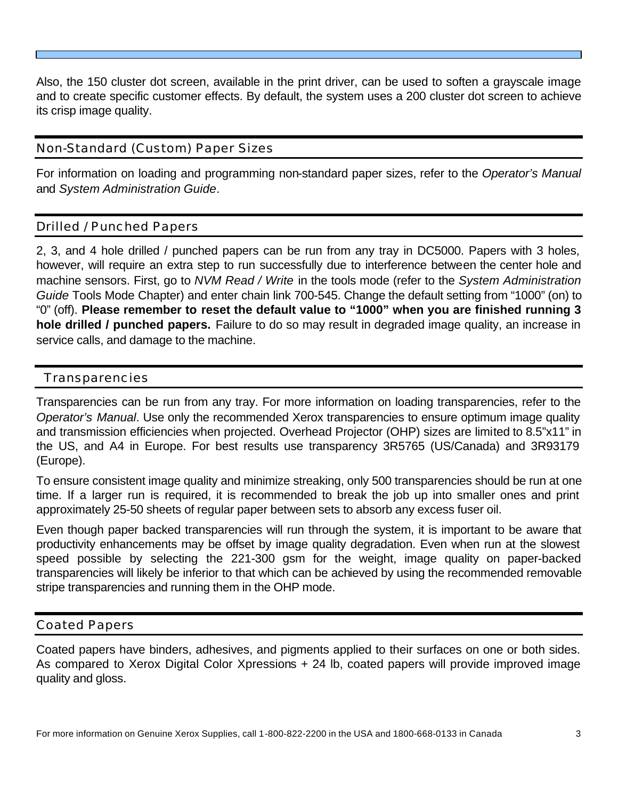Also, the 150 cluster dot screen, available in the print driver, can be used to soften a grayscale image and to create specific customer effects. By default, the system uses a 200 cluster dot screen to achieve its crisp image quality.

## Non-Standard (Custom) Paper Sizes

For information on loading and programming non-standard paper sizes, refer to the *Operator's Manual*  and *System Administration Guide*.

## Drilled / Punched Papers

2, 3, and 4 hole drilled / punched papers can be run from any tray in DC5000. Papers with 3 holes, however, will require an extra step to run successfully due to interference between the center hole and machine sensors. First, go to *NVM Read / Write* in the tools mode (refer to the *System Administration Guide* Tools Mode Chapter) and enter chain link 700-545. Change the default setting from "1000" (on) to "0" (off). **Please remember to reset the default value to "1000" when you are finished running 3 hole drilled / punched papers.** Failure to do so may result in degraded image quality, an increase in service calls, and damage to the machine.

## Transparencies

Transparencies can be run from any tray. For more information on loading transparencies, refer to the *Operator's Manual*. Use only the recommended Xerox transparencies to ensure optimum image quality and transmission efficiencies when projected. Overhead Projector (OHP) sizes are limited to 8.5"x11" in the US, and A4 in Europe. For best results use transparency 3R5765 (US/Canada) and 3R93179 (Europe).

To ensure consistent image quality and minimize streaking, only 500 transparencies should be run at one time. If a larger run is required, it is recommended to break the job up into smaller ones and print approximately 25-50 sheets of regular paper between sets to absorb any excess fuser oil.

Even though paper backed transparencies will run through the system, it is important to be aware that productivity enhancements may be offset by image quality degradation. Even when run at the slowest speed possible by selecting the 221-300 gsm for the weight, image quality on paper-backed transparencies will likely be inferior to that which can be achieved by using the recommended removable stripe transparencies and running them in the OHP mode.

## Coated Papers

Coated papers have binders, adhesives, and pigments applied to their surfaces on one or both sides. As compared to Xerox Digital Color Xpressions + 24 lb, coated papers will provide improved image quality and gloss.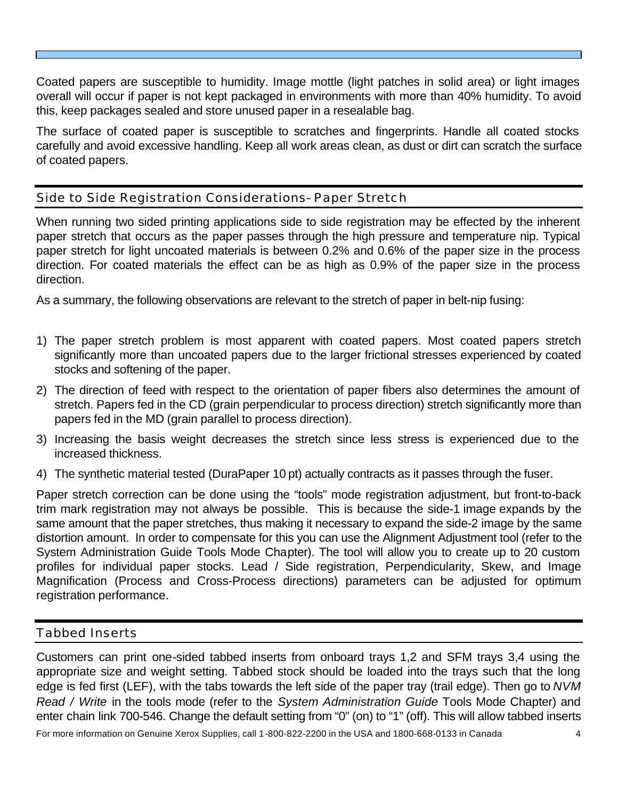Coated papers are susceptible to humidity. Image mottle (light patches in solid area) or light images overall will occur if paper is not kept packaged in environments with more than 40% humidity. To avoid this, keep packages sealed and store unused paper in a resealable bag.

The surface of coated paper is susceptible to scratches and fingerprints. Handle all coated stocks carefully and avoid excessive handling. Keep all work areas clean, as dust or dirt can scratch the surface of coated papers.

## Side to Side Registration Considerations- Paper Stretch

When running two sided printing applications side to side registration may be effected by the inherent paper stretch that occurs as the paper passes through the high pressure and temperature nip. Typical paper stretch for light uncoated materials is between 0.2% and 0.6% of the paper size in the process direction. For coated materials the effect can be as high as 0.9% of the paper size in the process direction.

As a summary, the following observations are relevant to the stretch of paper in belt-nip fusing:

- 1) The paper stretch problem is most apparent with coated papers. Most coated papers stretch significantly more than uncoated papers due to the larger frictional stresses experienced by coated stocks and softening of the paper.
- 2) The direction of feed with respect to the orientation of paper fibers also determines the amount of stretch. Papers fed in the CD (grain perpendicular to process direction) stretch significantly more than papers fed in the MD (grain parallel to process direction).
- 3) Increasing the basis weight decreases the stretch since less stress is experienced due to the increased thickness.
- 4) The synthetic material tested (DuraPaper 10 pt) actually contracts as it passes through the fuser.

Paper stretch correction can be done using the "tools" mode registration adjustment, but front-to-back trim mark registration may not always be possible. This is because the side-1 image expands by the same amount that the paper stretches, thus making it necessary to expand the side-2 image by the same distortion amount. In order to compensate for this you can use the Alignment Adjustment tool (refer to the System Administration Guide Tools Mode Chapter). The tool will allow you to create up to 20 custom profiles for individual paper stocks. Lead / Side registration, Perpendicularity, Skew, and Image Magnification (Process and Cross-Process directions) parameters can be adjusted for optimum registration performance.

#### Tabbed Inserts

Customers can print one-sided tabbed inserts from onboard trays 1,2 and SFM trays 3,4 using the appropriate size and weight setting. Tabbed stock should be loaded into the trays such that the long edge is fed first (LEF), with the tabs towards the left side of the paper tray (trail edge). Then go to *NVM Read / Write* in the tools mode (refer to the *System Administration Guide* Tools Mode Chapter) and enter chain link 700-546. Change the default setting from "0" (on) to "1" (off). This will allow tabbed inserts

For more information on Genuine Xerox Supplies, call 1-800-822-2200 in the USA and 1800-668-0133 in Canada 4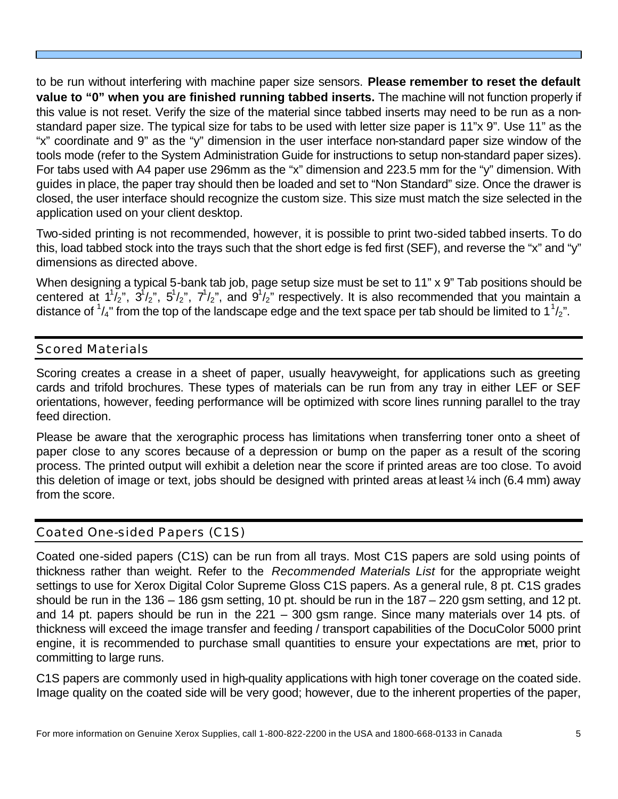to be run without interfering with machine paper size sensors. **Please remember to reset the default value to "0" when you are finished running tabbed inserts.** The machine will not function properly if this value is not reset. Verify the size of the material since tabbed inserts may need to be run as a nonstandard paper size. The typical size for tabs to be used with letter size paper is 11"x 9". Use 11" as the "x" coordinate and 9" as the "y" dimension in the user interface non-standard paper size window of the tools mode (refer to the System Administration Guide for instructions to setup non-standard paper sizes). For tabs used with A4 paper use 296mm as the "x" dimension and 223.5 mm for the "y" dimension. With guides in place, the paper tray should then be loaded and set to "Non Standard" size. Once the drawer is closed, the user interface should recognize the custom size. This size must match the size selected in the application used on your client desktop.

Two-sided printing is not recommended, however, it is possible to print two-sided tabbed inserts. To do this, load tabbed stock into the trays such that the short edge is fed first (SEF), and reverse the "x" and "y" dimensions as directed above.

When designing a typical 5-bank tab job, page setup size must be set to 11" x 9" Tab positions should be centered at  $1^{1}/_{2}$ ",  $3^{1}/_{2}$ ",  $5^{1}/_{2}$ ",  $7^{1}/_{2}$ ", and  $9^{1}/_{2}$ " respectively. It is also recommended that you maintain a distance of  $\frac{1}{4}$ " from the top of the landscape edge and the text space per tab should be limited to  $1\frac{1}{2}$ ".

## Scored Materials

Scoring creates a crease in a sheet of paper, usually heavyweight, for applications such as greeting cards and trifold brochures. These types of materials can be run from any tray in either LEF or SEF orientations, however, feeding performance will be optimized with score lines running parallel to the tray feed direction.

Please be aware that the xerographic process has limitations when transferring toner onto a sheet of paper close to any scores because of a depression or bump on the paper as a result of the scoring process. The printed output will exhibit a deletion near the score if printed areas are too close. To avoid this deletion of image or text, jobs should be designed with printed areas at least ¼ inch (6.4 mm) away from the score.

## Coated One-sided Papers (C1S)

Coated one-sided papers (C1S) can be run from all trays. Most C1S papers are sold using points of thickness rather than weight. Refer to the *Recommended Materials List* for the appropriate weight settings to use for Xerox Digital Color Supreme Gloss C1S papers. As a general rule, 8 pt. C1S grades should be run in the 136 – 186 gsm setting, 10 pt. should be run in the 187 – 220 gsm setting, and 12 pt. and 14 pt. papers should be run in the 221 – 300 gsm range. Since many materials over 14 pts. of thickness will exceed the image transfer and feeding / transport capabilities of the DocuColor 5000 print engine, it is recommended to purchase small quantities to ensure your expectations are met, prior to committing to large runs.

C1S papers are commonly used in high-quality applications with high toner coverage on the coated side. Image quality on the coated side will be very good; however, due to the inherent properties of the paper,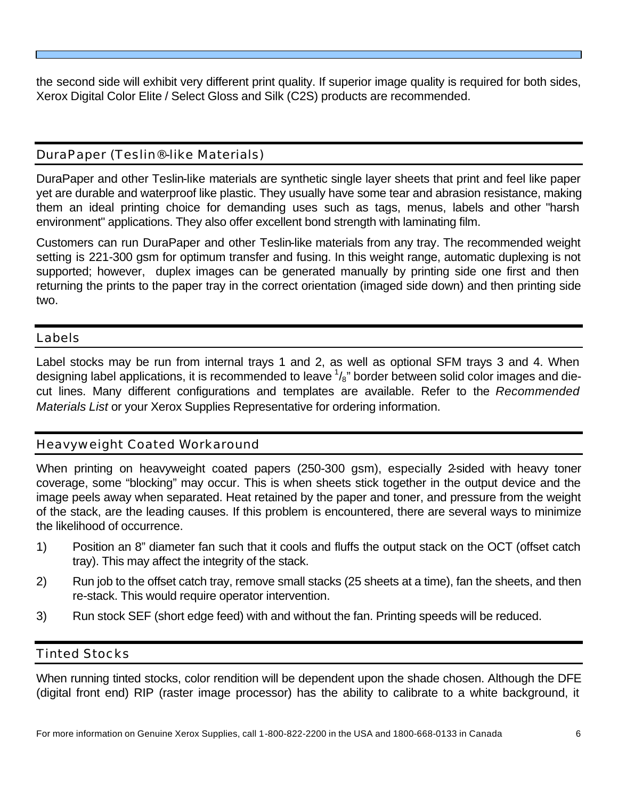the second side will exhibit very different print quality. If superior image quality is required for both sides, Xerox Digital Color Elite / Select Gloss and Silk (C2S) products are recommended.

## DuraPaper (Teslin®-like Materials)

DuraPaper and other Teslin-like materials are synthetic single layer sheets that print and feel like paper yet are durable and waterproof like plastic. They usually have some tear and abrasion resistance, making them an ideal printing choice for demanding uses such as tags, menus, labels and other "harsh environment" applications. They also offer excellent bond strength with laminating film.

Customers can run DuraPaper and other Teslin-like materials from any tray. The recommended weight setting is 221-300 gsm for optimum transfer and fusing. In this weight range, automatic duplexing is not supported; however, duplex images can be generated manually by printing side one first and then returning the prints to the paper tray in the correct orientation (imaged side down) and then printing side two.

Labels

Label stocks may be run from internal trays 1 and 2, as well as optional SFM trays 3 and 4. When designing label applications, it is recommended to leave  $\frac{1}{8}$ " border between solid color images and diecut lines. Many different configurations and templates are available. Refer to the *Recommended Materials List* or your Xerox Supplies Representative for ordering information.

## Heavyweight Coated Workaround

When printing on heavyweight coated papers (250-300 gsm), especially 2-sided with heavy toner coverage, some "blocking" may occur. This is when sheets stick together in the output device and the image peels away when separated. Heat retained by the paper and toner, and pressure from the weight of the stack, are the leading causes. If this problem is encountered, there are several ways to minimize the likelihood of occurrence.

- 1) Position an 8" diameter fan such that it cools and fluffs the output stack on the OCT (offset catch tray). This may affect the integrity of the stack.
- 2) Run job to the offset catch tray, remove small stacks (25 sheets at a time), fan the sheets, and then re-stack. This would require operator intervention.
- 3) Run stock SEF (short edge feed) with and without the fan. Printing speeds will be reduced.

## Tinted Stocks

When running tinted stocks, color rendition will be dependent upon the shade chosen. Although the DFE (digital front end) RIP (raster image processor) has the ability to calibrate to a white background, it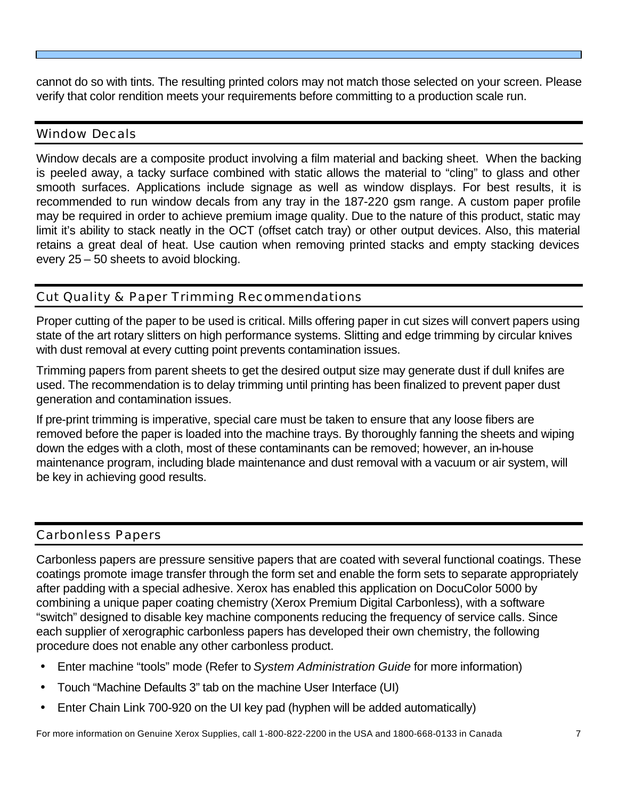cannot do so with tints. The resulting printed colors may not match those selected on your screen. Please verify that color rendition meets your requirements before committing to a production scale run.

#### Window Decals

Window decals are a composite product involving a film material and backing sheet. When the backing is peeled away, a tacky surface combined with static allows the material to "cling" to glass and other smooth surfaces. Applications include signage as well as window displays. For best results, it is recommended to run window decals from any tray in the 187-220 gsm range. A custom paper profile may be required in order to achieve premium image quality. Due to the nature of this product, static may limit it's ability to stack neatly in the OCT (offset catch tray) or other output devices. Also, this material retains a great deal of heat. Use caution when removing printed stacks and empty stacking devices every 25 – 50 sheets to avoid blocking.

## Cut Quality & Paper Trimming Recommendations

Proper cutting of the paper to be used is critical. Mills offering paper in cut sizes will convert papers using state of the art rotary slitters on high performance systems. Slitting and edge trimming by circular knives with dust removal at every cutting point prevents contamination issues.

Trimming papers from parent sheets to get the desired output size may generate dust if dull knifes are used. The recommendation is to delay trimming until printing has been finalized to prevent paper dust generation and contamination issues.

If pre-print trimming is imperative, special care must be taken to ensure that any loose fibers are removed before the paper is loaded into the machine trays. By thoroughly fanning the sheets and wiping down the edges with a cloth, most of these contaminants can be removed; however, an in-house maintenance program, including blade maintenance and dust removal with a vacuum or air system, will be key in achieving good results.

## Carbonless Papers

Carbonless papers are pressure sensitive papers that are coated with several functional coatings. These coatings promote image transfer through the form set and enable the form sets to separate appropriately after padding with a special adhesive. Xerox has enabled this application on DocuColor 5000 by combining a unique paper coating chemistry (Xerox Premium Digital Carbonless), with a software "switch" designed to disable key machine components reducing the frequency of service calls. Since each supplier of xerographic carbonless papers has developed their own chemistry, the following procedure does not enable any other carbonless product.

- Enter machine "tools" mode (Refer to *System Administration Guide* for more information)
- Touch "Machine Defaults 3" tab on the machine User Interface (UI)
- Enter Chain Link 700-920 on the UI key pad (hyphen will be added automatically)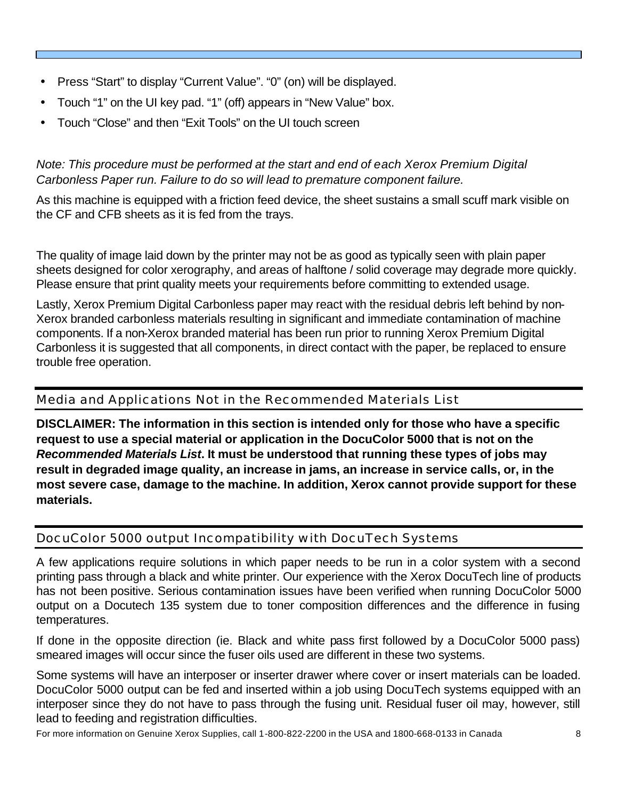- Press "Start" to display "Current Value". "0" (on) will be displayed.
- Touch "1" on the UI key pad. "1" (off) appears in "New Value" box.
- Touch "Close" and then "Exit Tools" on the UI touch screen

## *Note: This procedure must be performed at the start and end of each Xerox Premium Digital Carbonless Paper run. Failure to do so will lead to premature component failure.*

As this machine is equipped with a friction feed device, the sheet sustains a small scuff mark visible on the CF and CFB sheets as it is fed from the trays.

The quality of image laid down by the printer may not be as good as typically seen with plain paper sheets designed for color xerography, and areas of halftone / solid coverage may degrade more quickly. Please ensure that print quality meets your requirements before committing to extended usage.

Lastly, Xerox Premium Digital Carbonless paper may react with the residual debris left behind by non-Xerox branded carbonless materials resulting in significant and immediate contamination of machine components. If a non-Xerox branded material has been run prior to running Xerox Premium Digital Carbonless it is suggested that all components, in direct contact with the paper, be replaced to ensure trouble free operation.

## Media and Applications Not in the Recommended Materials List

**DISCLAIMER: The information in this section is intended only for those who have a specific request to use a special material or application in the DocuColor 5000 that is not on the**  *Recommended Materials List***. It must be understood that running these types of jobs may result in degraded image quality, an increase in jams, an increase in service calls, or, in the most severe case, damage to the machine. In addition, Xerox cannot provide support for these materials.**

## DocuColor 5000 output Incompatibility with DocuTech Systems

A few applications require solutions in which paper needs to be run in a color system with a second printing pass through a black and white printer. Our experience with the Xerox DocuTech line of products has not been positive. Serious contamination issues have been verified when running DocuColor 5000 output on a Docutech 135 system due to toner composition differences and the difference in fusing temperatures.

If done in the opposite direction (ie. Black and white pass first followed by a DocuColor 5000 pass) smeared images will occur since the fuser oils used are different in these two systems.

Some systems will have an interposer or inserter drawer where cover or insert materials can be loaded. DocuColor 5000 output can be fed and inserted within a job using DocuTech systems equipped with an interposer since they do not have to pass through the fusing unit. Residual fuser oil may, however, still lead to feeding and registration difficulties.

For more information on Genuine Xerox Supplies, call 1-800-822-2200 in the USA and 1800-668-0133 in Canada 8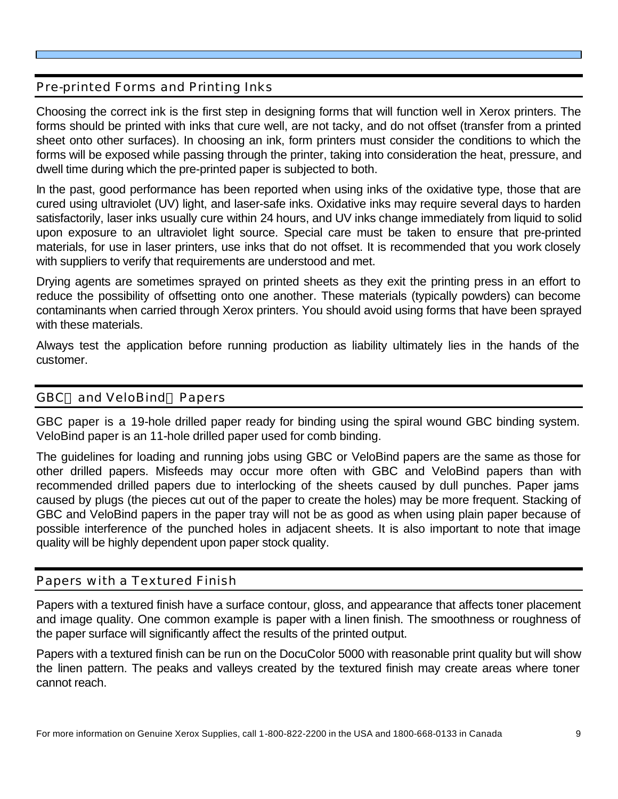## Pre-printed Forms and Printing Inks

Choosing the correct ink is the first step in designing forms that will function well in Xerox printers. The forms should be printed with inks that cure well, are not tacky, and do not offset (transfer from a printed sheet onto other surfaces). In choosing an ink, form printers must consider the conditions to which the forms will be exposed while passing through the printer, taking into consideration the heat, pressure, and dwell time during which the pre-printed paper is subjected to both.

In the past, good performance has been reported when using inks of the oxidative type, those that are cured using ultraviolet (UV) light, and laser-safe inks. Oxidative inks may require several days to harden satisfactorily, laser inks usually cure within 24 hours, and UV inks change immediately from liquid to solid upon exposure to an ultraviolet light source. Special care must be taken to ensure that pre-printed materials, for use in laser printers, use inks that do not offset. It is recommended that you work closely with suppliers to verify that requirements are understood and met.

Drying agents are sometimes sprayed on printed sheets as they exit the printing press in an effort to reduce the possibility of offsetting onto one another. These materials (typically powders) can become contaminants when carried through Xerox printers. You should avoid using forms that have been sprayed with these materials.

Always test the application before running production as liability ultimately lies in the hands of the customer.

## GBC® and VeloBind® Papers

GBC paper is a 19-hole drilled paper ready for binding using the spiral wound GBC binding system. VeloBind paper is an 11-hole drilled paper used for comb binding.

The guidelines for loading and running jobs using GBC or VeloBind papers are the same as those for other drilled papers. Misfeeds may occur more often with GBC and VeloBind papers than with recommended drilled papers due to interlocking of the sheets caused by dull punches. Paper jams caused by plugs (the pieces cut out of the paper to create the holes) may be more frequent. Stacking of GBC and VeloBind papers in the paper tray will not be as good as when using plain paper because of possible interference of the punched holes in adjacent sheets. It is also important to note that image quality will be highly dependent upon paper stock quality.

## Papers with a Textured Finish

Papers with a textured finish have a surface contour, gloss, and appearance that affects toner placement and image quality. One common example is paper with a linen finish. The smoothness or roughness of the paper surface will significantly affect the results of the printed output.

Papers with a textured finish can be run on the DocuColor 5000 with reasonable print quality but will show the linen pattern. The peaks and valleys created by the textured finish may create areas where toner cannot reach.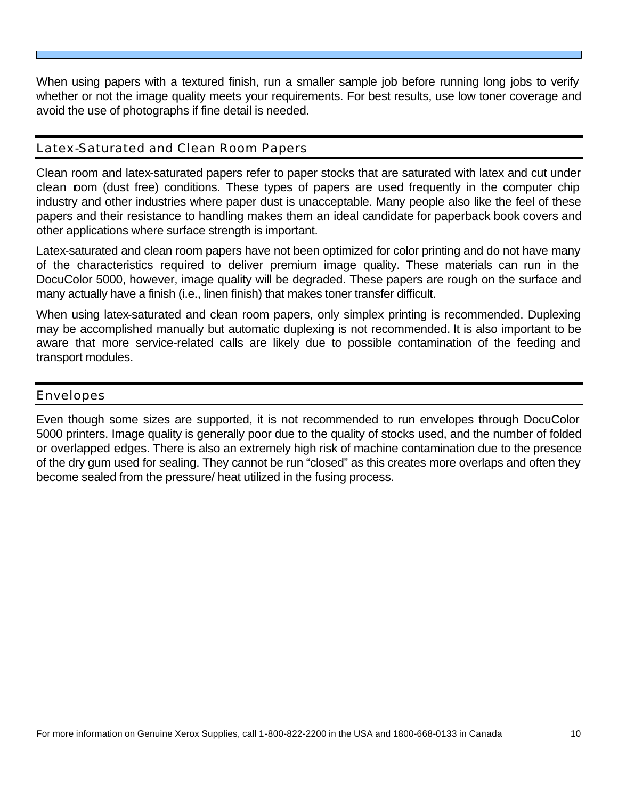When using papers with a textured finish, run a smaller sample job before running long jobs to verify whether or not the image quality meets your requirements. For best results, use low toner coverage and avoid the use of photographs if fine detail is needed.

## Latex-Saturated and Clean Room Papers

Clean room and latex-saturated papers refer to paper stocks that are saturated with latex and cut under clean room (dust free) conditions. These types of papers are used frequently in the computer chip industry and other industries where paper dust is unacceptable. Many people also like the feel of these papers and their resistance to handling makes them an ideal candidate for paperback book covers and other applications where surface strength is important.

Latex-saturated and clean room papers have not been optimized for color printing and do not have many of the characteristics required to deliver premium image quality. These materials can run in the DocuColor 5000, however, image quality will be degraded. These papers are rough on the surface and many actually have a finish (i.e., linen finish) that makes toner transfer difficult.

When using latex-saturated and clean room papers, only simplex printing is recommended. Duplexing may be accomplished manually but automatic duplexing is not recommended. It is also important to be aware that more service-related calls are likely due to possible contamination of the feeding and transport modules.

#### Envelopes

Even though some sizes are supported, it is not recommended to run envelopes through DocuColor 5000 printers. Image quality is generally poor due to the quality of stocks used, and the number of folded or overlapped edges. There is also an extremely high risk of machine contamination due to the presence of the dry gum used for sealing. They cannot be run "closed" as this creates more overlaps and often they become sealed from the pressure/ heat utilized in the fusing process.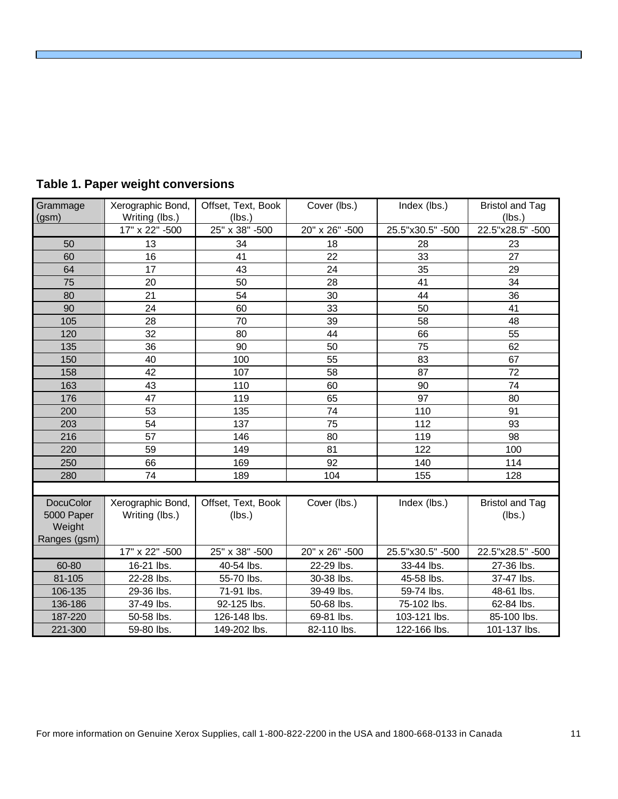| Grammage<br>(gsm)              | Xerographic Bond,<br>Writing (lbs.) | Offset, Text, Book<br>(lbs.) | Cover (lbs.)   | Index (lbs.)     | <b>Bristol and Tag</b><br>(lbs.) |
|--------------------------------|-------------------------------------|------------------------------|----------------|------------------|----------------------------------|
|                                | 17" x 22" -500                      | 25" x 38" -500               | 20" x 26" -500 | 25.5"x30.5" -500 | 22.5"x28.5" -500                 |
| 50                             | 13                                  | 34                           | 18             | 28               | 23                               |
| 60                             | 16                                  | 41                           | 22             | 33               | 27                               |
| 64                             | 17                                  | 43                           | 24             | 35               | 29                               |
| 75                             | 20                                  | 50                           | 28             | 41               | 34                               |
| 80                             | 21                                  | 54                           | 30             | 44               | 36                               |
| 90                             | 24                                  | 60                           | 33             | 50               | 41                               |
| 105                            | 28                                  | 70                           | 39             | 58               | 48                               |
| 120                            | 32                                  | 80                           | 44             | 66               | 55                               |
| 135                            | 36                                  | 90                           | 50             | 75               | 62                               |
| 150                            | 40                                  | 100                          | 55             | 83               | 67                               |
| 158                            | 42                                  | 107                          | 58             | 87               | 72                               |
| 163                            | 43                                  | 110                          | 60             | 90               | 74                               |
| 176                            | 47                                  | 119                          | 65             | 97               | 80                               |
| 200                            | 53                                  | 135                          | 74             | 110              | 91                               |
| 203                            | 54                                  | 137                          | 75             | 112              | 93                               |
| 216                            | 57                                  | 146                          | 80             | 119              | 98                               |
| 220                            | 59                                  | 149                          | 81             | 122              | 100                              |
| 250                            | 66                                  | 169                          | 92             | 140              | 114                              |
| 280                            | 74                                  | 189                          | 104            | 155              | 128                              |
|                                |                                     |                              |                |                  |                                  |
| <b>DocuColor</b><br>5000 Paper | Xerographic Bond,<br>Writing (lbs.) | Offset, Text, Book<br>(lbs.) | Cover (lbs.)   | Index (lbs.)     | <b>Bristol and Tag</b><br>(lbs.) |
| Weight<br>Ranges (gsm)         |                                     |                              |                |                  |                                  |
|                                | 17" x 22" -500                      | 25" x 38" -500               | 20" x 26" -500 | 25.5"x30.5" -500 | 22.5"x28.5" -500                 |
| 60-80                          | 16-21 lbs.                          | 40-54 lbs.                   | 22-29 lbs.     | 33-44 lbs.       | 27-36 lbs.                       |
| 81-105                         | 22-28 lbs.                          | 55-70 lbs.                   | 30-38 lbs.     | 45-58 lbs.       | 37-47 lbs.                       |
| 106-135                        | 29-36 lbs.                          | 71-91 lbs.                   | 39-49 lbs.     | 59-74 lbs.       | 48-61 lbs.                       |
| 136-186                        | 37-49 lbs.                          | 92-125 lbs.                  | 50-68 lbs.     | 75-102 lbs.      | 62-84 lbs.                       |
| 187-220                        | 50-58 lbs.                          | 126-148 lbs.                 | 69-81 lbs.     | 103-121 lbs.     | 85-100 lbs.                      |
| 221-300                        | 59-80 lbs.                          | 149-202 lbs.                 | 82-110 lbs.    | 122-166 lbs.     | 101-137 lbs.                     |

## **Table 1. Paper weight conversions**